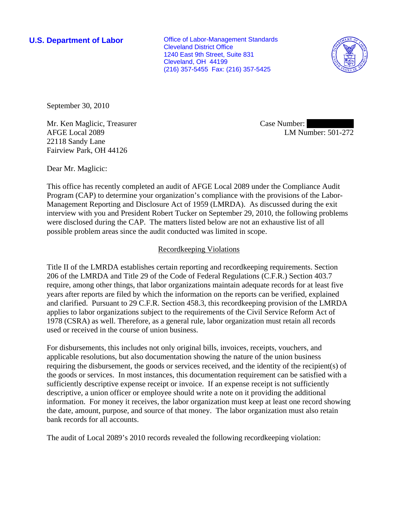**U.S. Department of Labor Conservative Conservative Conservative Conservative Conservative Conservative Conservative Conservative Conservative Conservative Conservative Conservative Conservative Conservative Conservative** Cleveland District Office 1240 East 9th Street, Suite 831 Cleveland, OH 44199 (216) 357-5455 Fax: (216) 357-5425



September 30, 2010

Mr. Ken Maglicic, Treasurer AFGE Local 2089 22118 Sandy Lane Fairview Park, OH 44126

Case Number: LM Number: 501-272

Dear Mr. Maglicic:

This office has recently completed an audit of AFGE Local 2089 under the Compliance Audit Program (CAP) to determine your organization's compliance with the provisions of the Labor-Management Reporting and Disclosure Act of 1959 (LMRDA). As discussed during the exit interview with you and President Robert Tucker on September 29, 2010, the following problems were disclosed during the CAP. The matters listed below are not an exhaustive list of all possible problem areas since the audit conducted was limited in scope.

# Recordkeeping Violations

Title II of the LMRDA establishes certain reporting and recordkeeping requirements. Section 206 of the LMRDA and Title 29 of the Code of Federal Regulations (C.F.R.) Section 403.7 require, among other things, that labor organizations maintain adequate records for at least five years after reports are filed by which the information on the reports can be verified, explained and clarified. Pursuant to 29 C.F.R. Section 458.3, this recordkeeping provision of the LMRDA applies to labor organizations subject to the requirements of the Civil Service Reform Act of 1978 (CSRA) as well. Therefore, as a general rule, labor organization must retain all records used or received in the course of union business.

For disbursements, this includes not only original bills, invoices, receipts, vouchers, and applicable resolutions, but also documentation showing the nature of the union business requiring the disbursement, the goods or services received, and the identity of the recipient(s) of the goods or services. In most instances, this documentation requirement can be satisfied with a sufficiently descriptive expense receipt or invoice. If an expense receipt is not sufficiently descriptive, a union officer or employee should write a note on it providing the additional information. For money it receives, the labor organization must keep at least one record showing the date, amount, purpose, and source of that money. The labor organization must also retain bank records for all accounts.

The audit of Local 2089's 2010 records revealed the following recordkeeping violation: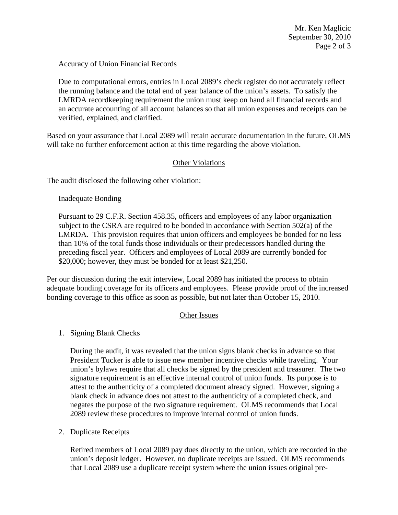Accuracy of Union Financial Records

Due to computational errors, entries in Local 2089's check register do not accurately reflect the running balance and the total end of year balance of the union's assets. To satisfy the LMRDA recordkeeping requirement the union must keep on hand all financial records and an accurate accounting of all account balances so that all union expenses and receipts can be verified, explained, and clarified.

Based on your assurance that Local 2089 will retain accurate documentation in the future, OLMS will take no further enforcement action at this time regarding the above violation.

## Other Violations

The audit disclosed the following other violation:

#### Inadequate Bonding

Pursuant to 29 C.F.R. Section 458.35, officers and employees of any labor organization subject to the CSRA are required to be bonded in accordance with Section 502(a) of the LMRDA. This provision requires that union officers and employees be bonded for no less than 10% of the total funds those individuals or their predecessors handled during the preceding fiscal year. Officers and employees of Local 2089 are currently bonded for \$20,000; however, they must be bonded for at least \$21,250.

Per our discussion during the exit interview, Local 2089 has initiated the process to obtain adequate bonding coverage for its officers and employees. Please provide proof of the increased bonding coverage to this office as soon as possible, but not later than October 15, 2010.

## Other Issues

1. Signing Blank Checks

 During the audit, it was revealed that the union signs blank checks in advance so that President Tucker is able to issue new member incentive checks while traveling. Your union's bylaws require that all checks be signed by the president and treasurer. The two signature requirement is an effective internal control of union funds. Its purpose is to attest to the authenticity of a completed document already signed. However, signing a blank check in advance does not attest to the authenticity of a completed check, and negates the purpose of the two signature requirement. OLMS recommends that Local 2089 review these procedures to improve internal control of union funds.

2. Duplicate Receipts

Retired members of Local 2089 pay dues directly to the union, which are recorded in the union's deposit ledger. However, no duplicate receipts are issued. OLMS recommends that Local 2089 use a duplicate receipt system where the union issues original pre-